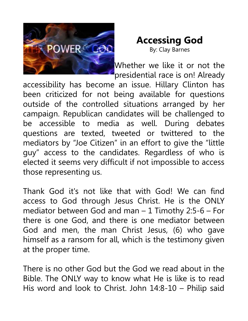

## **Accessing God**

By: Clay Barnes

Whether we like it or not the presidential race is on! Already

accessibility has become an issue. Hillary Clinton has been criticized for not being available for questions outside of the controlled situations arranged by her campaign. Republican candidates will be challenged to be accessible to media as well. During debates questions are texted, tweeted or twittered to the mediators by "Joe Citizen" in an effort to give the "little guy" access to the candidates. Regardless of who is elected it seems very difficult if not impossible to access those representing us.

Thank God it's not like that with God! We can find access to God through Jesus Christ. He is the ONLY mediator between God and man – 1 Timothy 2:5-6 – For there is one God, and there is one mediator between God and men, the man Christ Jesus, (6) who gave himself as a ransom for all, which is the testimony given at the proper time.

There is no other God but the God we read about in the Bible. The ONLY way to know what He is like is to read His word and look to Christ. John 14:8-10 – Philip said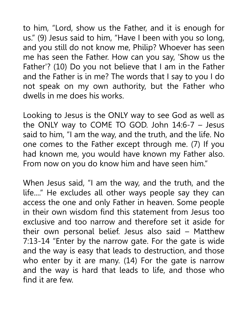to him, "Lord, show us the Father, and it is enough for us." (9) Jesus said to him, "Have I been with you so long, and you still do not know me, Philip? Whoever has seen me has seen the Father. How can you say, 'Show us the Father'? (10) Do you not believe that I am in the Father and the Father is in me? The words that I say to you I do not speak on my own authority, but the Father who dwells in me does his works.

Looking to Jesus is the ONLY way to see God as well as the ONLY way to COME TO GOD. John 14:6-7 – Jesus said to him, "I am the way, and the truth, and the life. No one comes to the Father except through me. (7) If you had known me, you would have known my Father also. From now on you do know him and have seen him."

When Jesus said, "I am the way, and the truth, and the life...." He excludes all other ways people say they can access the one and only Father in heaven. Some people in their own wisdom find this statement from Jesus too exclusive and too narrow and therefore set it aside for their own personal belief. Jesus also said – Matthew 7:13-14 "Enter by the narrow gate. For the gate is wide and the way is easy that leads to destruction, and those who enter by it are many. (14) For the gate is narrow and the way is hard that leads to life, and those who find it are few.